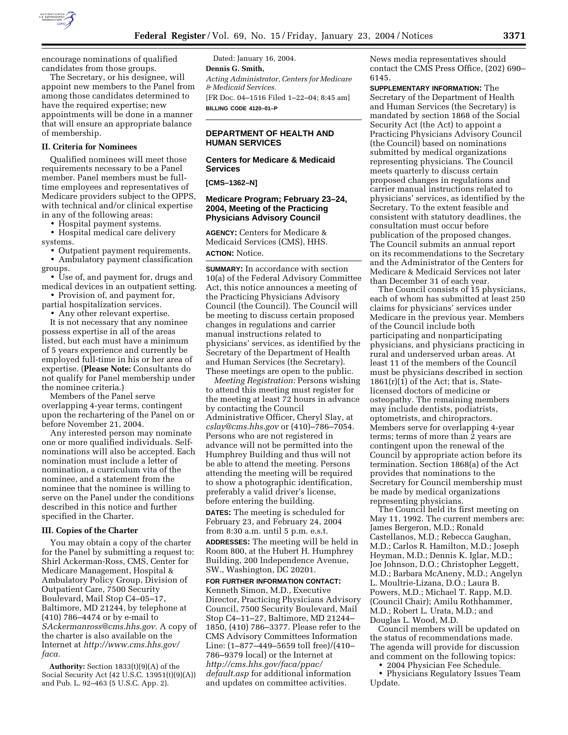

encourage nominations of qualified candidates from those groups.

The Secretary, or his designee, will appoint new members to the Panel from among those candidates determined to have the required expertise; new appointments will be done in a manner that will ensure an appropriate balance of membership.

# **II. Criteria for Nominees**

Qualified nominees will meet those requirements necessary to be a Panel member. Panel members must be fulltime employees and representatives of Medicare providers subject to the OPPS, with technical and/or clinical expertise in any of the following areas:

• Hospital payment systems.

• Hospital medical care delivery systems.

• Outpatient payment requirements. • Ambulatory payment classification groups.

• Use of, and payment for, drugs and medical devices in an outpatient setting.

• Provision of, and payment for, partial hospitalization services.

• Any other relevant expertise.

It is not necessary that any nominee possess expertise in all of the areas listed, but each must have a minimum of 5 years experience and currently be employed full-time in his or her area of expertise. (**Please Note:** Consultants do not qualify for Panel membership under the nominee criteria.)

Members of the Panel serve overlapping 4-year terms, contingent upon the rechartering of the Panel on or before November 21, 2004.

Any interested person may nominate one or more qualified individuals. Selfnominations will also be accepted. Each nomination must include a letter of nomination, a curriculum vita of the nominee, and a statement from the nominee that the nominee is willing to serve on the Panel under the conditions described in this notice and further specified in the Charter.

#### **III. Copies of the Charter**

You may obtain a copy of the charter for the Panel by submitting a request to: Shirl Ackerman-Ross, CMS, Center for Medicare Management, Hospital & Ambulatory Policy Group, Division of Outpatient Care, 7500 Security Boulevard, Mail Stop C4–05–17, Baltimore, MD 21244, by telephone at (410) 786–4474 or by e-mail to *SAckermanross@cms.hhs.gov.* A copy of the charter is also available on the Internet at *http://www.cms.hhs.gov/ faca.*

**Authority:** Section 1833(t)(9)(A) of the Social Security Act (42 U.S.C. 13951(t)(9)(A)) and Pub. L. 92–463 (5 U.S.C. App. 2).

Dated: January 16, 2004. **Dennis G. Smith,**  *Acting Administrator, Centers for Medicare & Medicaid Services.* [FR Doc. 04–1516 Filed 1–22–04; 8:45 am] **BILLING CODE 4120–01–P**

# **DEPARTMENT OF HEALTH AND HUMAN SERVICES**

## **Centers for Medicare & Medicaid Services**

**[CMS–1362–N]** 

## **Medicare Program; February 23–24, 2004, Meeting of the Practicing Physicians Advisory Council**

**AGENCY:** Centers for Medicare & Medicaid Services (CMS), HHS. **ACTION:** Notice.

**SUMMARY:** In accordance with section 10(a) of the Federal Advisory Committee Act, this notice announces a meeting of the Practicing Physicians Advisory Council (the Council). The Council will be meeting to discuss certain proposed changes in regulations and carrier manual instructions related to physicians' services, as identified by the Secretary of the Department of Health and Human Services (the Secretary). These meetings are open to the public.

*Meeting Registration:* Persons wishing to attend this meeting must register for the meeting at least 72 hours in advance by contacting the Council Administrative Officer, Cheryl Slay, at *cslay@cms.hhs.gov* or (410)–786–7054. Persons who are not registered in advance will not be permitted into the Humphrey Building and thus will not be able to attend the meeting. Persons attending the meeting will be required to show a photographic identification, preferably a valid driver's license, before entering the building.

**DATES:** The meeting is scheduled for February 23, and February 24, 2004 from 8:30 a.m. until 5 p.m. e.s.t.

**ADDRESSES:** The meeting will be held in Room 800, at the Hubert H. Humphrey Building, 200 Independence Avenue, SW., Washington, DC 20201.

**FOR FURTHER INFORMATION CONTACT:** Kenneth Simon, M.D., Executive Director, Practicing Physicians Advisory Council, 7500 Security Boulevard, Mail Stop C4–11–27, Baltimore, MD 21244– 1850, (410) 786–3377. Please refer to the CMS Advisory Committees Information Line: (1–877–449–5659 toll free)/(410– 786–9379 local) or the Internet at *http://cms.hhs.gov/faca/ppac/ default.asp* for additional information and updates on committee activities.

News media representatives should contact the CMS Press Office, (202) 690– 6145.

**SUPPLEMENTARY INFORMATION:** The Secretary of the Department of Health and Human Services (the Secretary) is mandated by section 1868 of the Social Security Act (the Act) to appoint a Practicing Physicians Advisory Council (the Council) based on nominations submitted by medical organizations representing physicians. The Council meets quarterly to discuss certain proposed changes in regulations and carrier manual instructions related to physicians' services, as identified by the Secretary. To the extent feasible and consistent with statutory deadlines, the consultation must occur before publication of the proposed changes. The Council submits an annual report on its recommendations to the Secretary and the Administrator of the Centers for Medicare & Medicaid Services not later than December 31 of each year.

The Council consists of 15 physicians, each of whom has submitted at least 250 claims for physicians' services under Medicare in the previous year. Members of the Council include both participating and nonparticipating physicians, and physicians practicing in rural and underserved urban areas. At least 11 of the members of the Council must be physicians described in section  $1861(r)(1)$  of the Act; that is, Statelicensed doctors of medicine or osteopathy. The remaining members may include dentists, podiatrists, optometrists, and chiropractors. Members serve for overlapping 4-year terms; terms of more than 2 years are contingent upon the renewal of the Council by appropriate action before its termination. Section 1868(a) of the Act provides that nominations to the Secretary for Council membership must be made by medical organizations representing physicians.

The Council held its first meeting on May 11, 1992. The current members are: James Bergeron, M.D.; Ronald Castellanos, M.D.; Rebecca Gaughan, M.D.; Carlos R. Hamilton, M.D.; Joseph Heyman, M.D.; Dennis K. Iglar, M.D.; Joe Johnson, D.O.; Christopher Leggett, M.D.; Barbara McAneny, M.D.; Angelyn L. Moultrie-Lizana, D.O.; Laura B. Powers, M.D.; Michael T. Rapp, M.D. (Council Chair); Amilu Rothhammer, M.D.; Robert L. Urata, M.D.; and Douglas L. Wood, M.D.

Council members will be updated on the status of recommendations made. The agenda will provide for discussion and comment on the following topics:

• 2004 Physician Fee Schedule.

• Physicians Regulatory Issues Team Update.